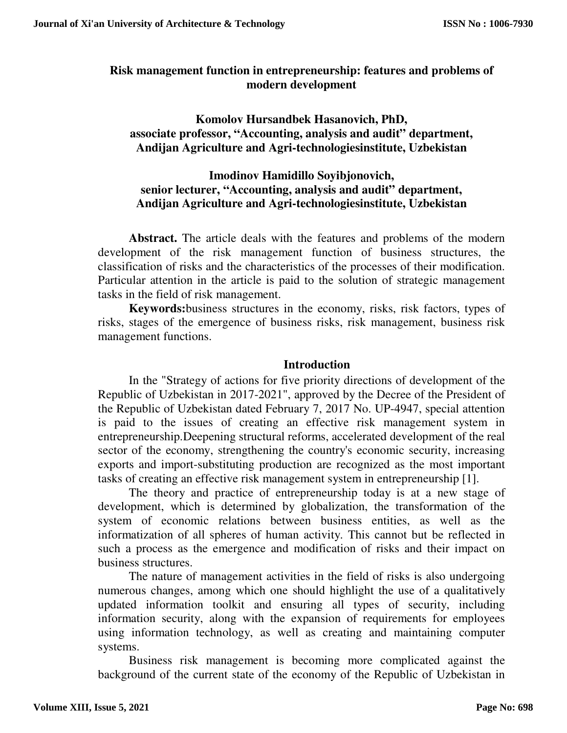## **Risk management function in entrepreneurship: features and problems of modern development**

**Komolov Hursandbek Hasanovich, PhD, associate professor, "Accounting, analysis and audit" department, Andijan Agriculture and Agri-technologiesinstitute, Uzbekistan** 

## **Imodinov Hamidillo Soyibjonovich, senior lecturer, "Accounting, analysis and audit" department, Andijan Agriculture and Agri-technologiesinstitute, Uzbekistan**

**Abstract.** The article deals with the features and problems of the modern development of the risk management function of business structures, the classification of risks and the characteristics of the processes of their modification. Particular attention in the article is paid to the solution of strategic management tasks in the field of risk management.

**Keywords:**business structures in the economy, risks, risk factors, types of risks, stages of the emergence of business risks, risk management, business risk management functions.

### **Introduction**

In the "Strategy of actions for five priority directions of development of the Republic of Uzbekistan in 2017-2021", approved by the Decree of the President of the Republic of Uzbekistan dated February 7, 2017 No. UP-4947, special attention is paid to the issues of creating an effective risk management system in entrepreneurship.Deepening structural reforms, accelerated development of the real sector of the economy, strengthening the country's economic security, increasing exports and import-substituting production are recognized as the most important tasks of creating an effective risk management system in entrepreneurship [1].

The theory and practice of entrepreneurship today is at a new stage of development, which is determined by globalization, the transformation of the system of economic relations between business entities, as well as the informatization of all spheres of human activity. This cannot but be reflected in such a process as the emergence and modification of risks and their impact on business structures.

The nature of management activities in the field of risks is also undergoing numerous changes, among which one should highlight the use of a qualitatively updated information toolkit and ensuring all types of security, including information security, along with the expansion of requirements for employees using information technology, as well as creating and maintaining computer systems.

Business risk management is becoming more complicated against the background of the current state of the economy of the Republic of Uzbekistan in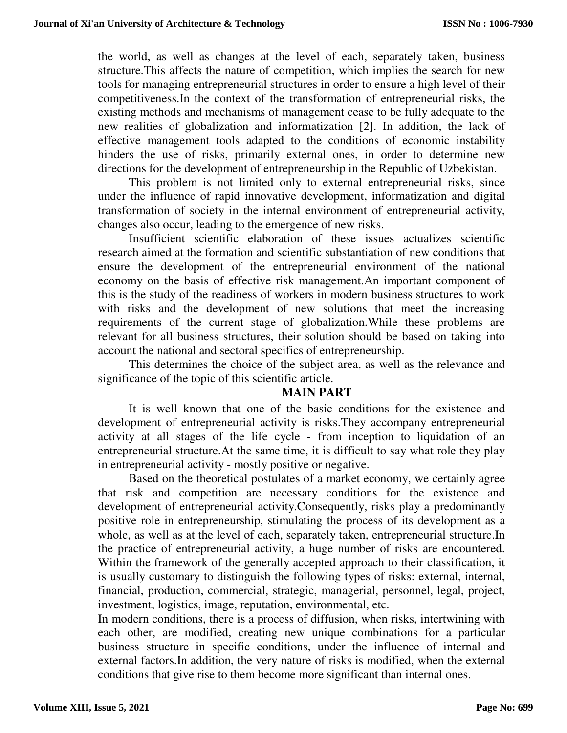the world, as well as changes at the level of each, separately taken, business structure.This affects the nature of competition, which implies the search for new tools for managing entrepreneurial structures in order to ensure a high level of their competitiveness.In the context of the transformation of entrepreneurial risks, the existing methods and mechanisms of management cease to be fully adequate to the new realities of globalization and informatization [2]. In addition, the lack of effective management tools adapted to the conditions of economic instability hinders the use of risks, primarily external ones, in order to determine new directions for the development of entrepreneurship in the Republic of Uzbekistan.

This problem is not limited only to external entrepreneurial risks, since under the influence of rapid innovative development, informatization and digital transformation of society in the internal environment of entrepreneurial activity, changes also occur, leading to the emergence of new risks.

Insufficient scientific elaboration of these issues actualizes scientific research aimed at the formation and scientific substantiation of new conditions that ensure the development of the entrepreneurial environment of the national economy on the basis of effective risk management.An important component of this is the study of the readiness of workers in modern business structures to work with risks and the development of new solutions that meet the increasing requirements of the current stage of globalization.While these problems are relevant for all business structures, their solution should be based on taking into account the national and sectoral specifics of entrepreneurship.

This determines the choice of the subject area, as well as the relevance and significance of the topic of this scientific article.

### **MAIN PART**

It is well known that one of the basic conditions for the existence and development of entrepreneurial activity is risks.They accompany entrepreneurial activity at all stages of the life cycle - from inception to liquidation of an entrepreneurial structure.At the same time, it is difficult to say what role they play in entrepreneurial activity - mostly positive or negative.

Based on the theoretical postulates of a market economy, we certainly agree that risk and competition are necessary conditions for the existence and development of entrepreneurial activity.Consequently, risks play a predominantly positive role in entrepreneurship, stimulating the process of its development as a whole, as well as at the level of each, separately taken, entrepreneurial structure.In the practice of entrepreneurial activity, a huge number of risks are encountered. Within the framework of the generally accepted approach to their classification, it is usually customary to distinguish the following types of risks: external, internal, financial, production, commercial, strategic, managerial, personnel, legal, project, investment, logistics, image, reputation, environmental, etc.

In modern conditions, there is a process of diffusion, when risks, intertwining with each other, are modified, creating new unique combinations for a particular business structure in specific conditions, under the influence of internal and external factors.In addition, the very nature of risks is modified, when the external conditions that give rise to them become more significant than internal ones.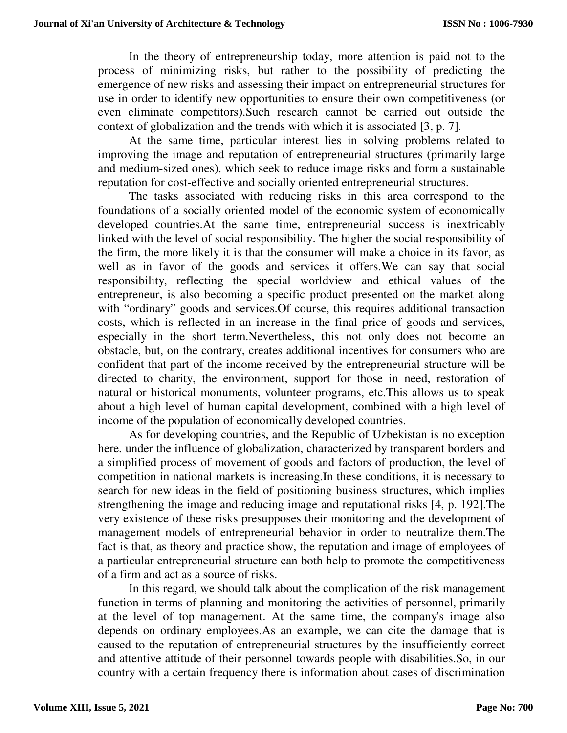In the theory of entrepreneurship today, more attention is paid not to the process of minimizing risks, but rather to the possibility of predicting the emergence of new risks and assessing their impact on entrepreneurial structures for use in order to identify new opportunities to ensure their own competitiveness (or even eliminate competitors).Such research cannot be carried out outside the context of globalization and the trends with which it is associated [3, p. 7].

At the same time, particular interest lies in solving problems related to improving the image and reputation of entrepreneurial structures (primarily large and medium-sized ones), which seek to reduce image risks and form a sustainable reputation for cost-effective and socially oriented entrepreneurial structures.

The tasks associated with reducing risks in this area correspond to the foundations of a socially oriented model of the economic system of economically developed countries.At the same time, entrepreneurial success is inextricably linked with the level of social responsibility. The higher the social responsibility of the firm, the more likely it is that the consumer will make a choice in its favor, as well as in favor of the goods and services it offers.We can say that social responsibility, reflecting the special worldview and ethical values of the entrepreneur, is also becoming a specific product presented on the market along with "ordinary" goods and services. Of course, this requires additional transaction costs, which is reflected in an increase in the final price of goods and services, especially in the short term.Nevertheless, this not only does not become an obstacle, but, on the contrary, creates additional incentives for consumers who are confident that part of the income received by the entrepreneurial structure will be directed to charity, the environment, support for those in need, restoration of natural or historical monuments, volunteer programs, etc.This allows us to speak about a high level of human capital development, combined with a high level of income of the population of economically developed countries.

As for developing countries, and the Republic of Uzbekistan is no exception here, under the influence of globalization, characterized by transparent borders and a simplified process of movement of goods and factors of production, the level of competition in national markets is increasing.In these conditions, it is necessary to search for new ideas in the field of positioning business structures, which implies strengthening the image and reducing image and reputational risks [4, p. 192].The very existence of these risks presupposes their monitoring and the development of management models of entrepreneurial behavior in order to neutralize them.The fact is that, as theory and practice show, the reputation and image of employees of a particular entrepreneurial structure can both help to promote the competitiveness of a firm and act as a source of risks.

In this regard, we should talk about the complication of the risk management function in terms of planning and monitoring the activities of personnel, primarily at the level of top management. At the same time, the company's image also depends on ordinary employees.As an example, we can cite the damage that is caused to the reputation of entrepreneurial structures by the insufficiently correct and attentive attitude of their personnel towards people with disabilities.So, in our country with a certain frequency there is information about cases of discrimination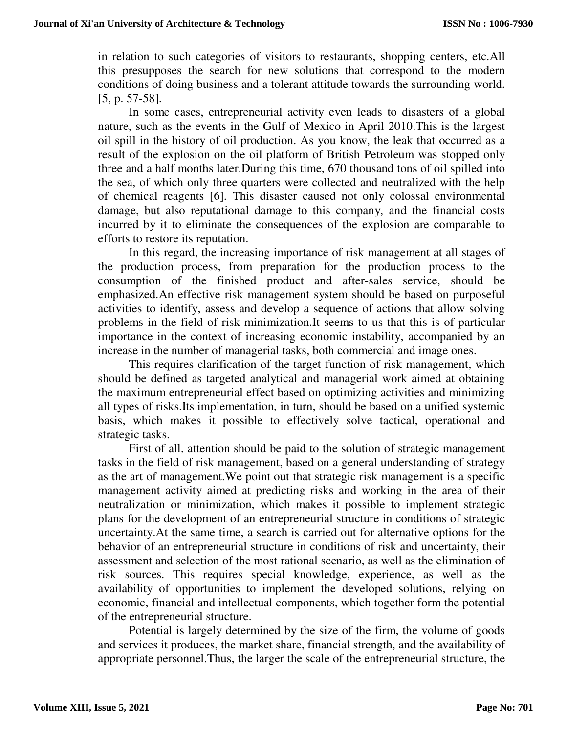in relation to such categories of visitors to restaurants, shopping centers, etc.All this presupposes the search for new solutions that correspond to the modern conditions of doing business and a tolerant attitude towards the surrounding world. [5, p. 57-58].

In some cases, entrepreneurial activity even leads to disasters of a global nature, such as the events in the Gulf of Mexico in April 2010.This is the largest oil spill in the history of oil production. As you know, the leak that occurred as a result of the explosion on the oil platform of British Petroleum was stopped only three and a half months later.During this time, 670 thousand tons of oil spilled into the sea, of which only three quarters were collected and neutralized with the help of chemical reagents [6]. This disaster caused not only colossal environmental damage, but also reputational damage to this company, and the financial costs incurred by it to eliminate the consequences of the explosion are comparable to efforts to restore its reputation.

In this regard, the increasing importance of risk management at all stages of the production process, from preparation for the production process to the consumption of the finished product and after-sales service, should be emphasized.An effective risk management system should be based on purposeful activities to identify, assess and develop a sequence of actions that allow solving problems in the field of risk minimization.It seems to us that this is of particular importance in the context of increasing economic instability, accompanied by an increase in the number of managerial tasks, both commercial and image ones.

This requires clarification of the target function of risk management, which should be defined as targeted analytical and managerial work aimed at obtaining the maximum entrepreneurial effect based on optimizing activities and minimizing all types of risks.Its implementation, in turn, should be based on a unified systemic basis, which makes it possible to effectively solve tactical, operational and strategic tasks.

First of all, attention should be paid to the solution of strategic management tasks in the field of risk management, based on a general understanding of strategy as the art of management.We point out that strategic risk management is a specific management activity aimed at predicting risks and working in the area of their neutralization or minimization, which makes it possible to implement strategic plans for the development of an entrepreneurial structure in conditions of strategic uncertainty.At the same time, a search is carried out for alternative options for the behavior of an entrepreneurial structure in conditions of risk and uncertainty, their assessment and selection of the most rational scenario, as well as the elimination of risk sources. This requires special knowledge, experience, as well as the availability of opportunities to implement the developed solutions, relying on economic, financial and intellectual components, which together form the potential of the entrepreneurial structure.

Potential is largely determined by the size of the firm, the volume of goods and services it produces, the market share, financial strength, and the availability of appropriate personnel.Thus, the larger the scale of the entrepreneurial structure, the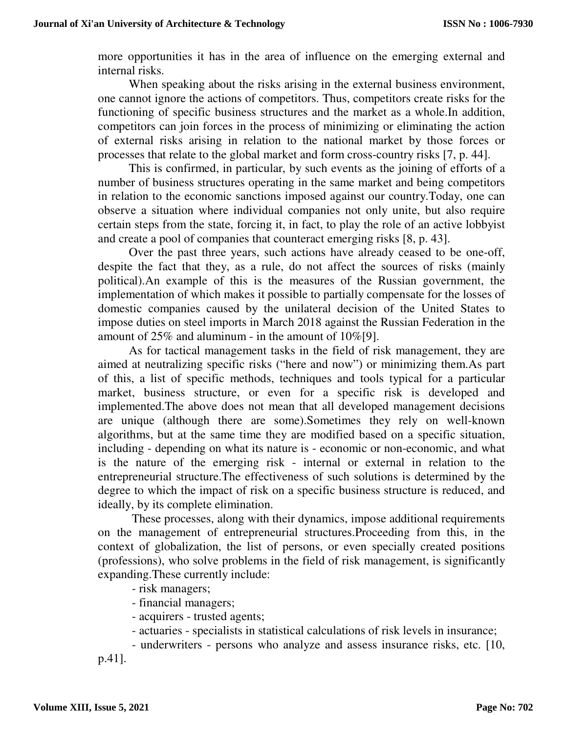more opportunities it has in the area of influence on the emerging external and internal risks.

When speaking about the risks arising in the external business environment, one cannot ignore the actions of competitors. Thus, competitors create risks for the functioning of specific business structures and the market as a whole.In addition, competitors can join forces in the process of minimizing or eliminating the action of external risks arising in relation to the national market by those forces or processes that relate to the global market and form cross-country risks [7, p. 44].

This is confirmed, in particular, by such events as the joining of efforts of a number of business structures operating in the same market and being competitors in relation to the economic sanctions imposed against our country.Today, one can observe a situation where individual companies not only unite, but also require certain steps from the state, forcing it, in fact, to play the role of an active lobbyist and create a pool of companies that counteract emerging risks [8, p. 43].

Over the past three years, such actions have already ceased to be one-off, despite the fact that they, as a rule, do not affect the sources of risks (mainly political).An example of this is the measures of the Russian government, the implementation of which makes it possible to partially compensate for the losses of domestic companies caused by the unilateral decision of the United States to impose duties on steel imports in March 2018 against the Russian Federation in the amount of 25% and aluminum - in the amount of 10%[9].

As for tactical management tasks in the field of risk management, they are aimed at neutralizing specific risks ("here and now") or minimizing them.As part of this, a list of specific methods, techniques and tools typical for a particular market, business structure, or even for a specific risk is developed and implemented.The above does not mean that all developed management decisions are unique (although there are some).Sometimes they rely on well-known algorithms, but at the same time they are modified based on a specific situation, including - depending on what its nature is - economic or non-economic, and what is the nature of the emerging risk - internal or external in relation to the entrepreneurial structure.The effectiveness of such solutions is determined by the degree to which the impact of risk on a specific business structure is reduced, and ideally, by its complete elimination.

These processes, along with their dynamics, impose additional requirements on the management of entrepreneurial structures.Proceeding from this, in the context of globalization, the list of persons, or even specially created positions (professions), who solve problems in the field of risk management, is significantly expanding.These currently include:

- risk managers;
- financial managers;
- acquirers trusted agents;
- actuaries specialists in statistical calculations of risk levels in insurance;
- underwriters persons who analyze and assess insurance risks, etc. [10,

p.41].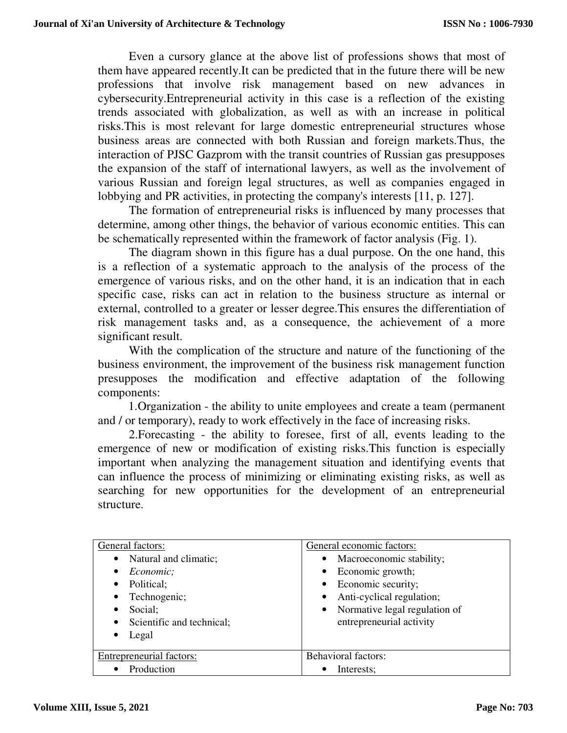Even a cursory glance at the above list of professions shows that most of them have appeared recently.It can be predicted that in the future there will be new professions that involve risk management based on new advances in cybersecurity.Entrepreneurial activity in this case is a reflection of the existing trends associated with globalization, as well as with an increase in political risks.This is most relevant for large domestic entrepreneurial structures whose business areas are connected with both Russian and foreign markets.Thus, the interaction of PJSC Gazprom with the transit countries of Russian gas presupposes the expansion of the staff of international lawyers, as well as the involvement of various Russian and foreign legal structures, as well as companies engaged in lobbying and PR activities, in protecting the company's interests [11, p. 127].

The formation of entrepreneurial risks is influenced by many processes that determine, among other things, the behavior of various economic entities. This can be schematically represented within the framework of factor analysis (Fig. 1).

The diagram shown in this figure has a dual purpose. On the one hand, this is a reflection of a systematic approach to the analysis of the process of the emergence of various risks, and on the other hand, it is an indication that in each specific case, risks can act in relation to the business structure as internal or external, controlled to a greater or lesser degree.This ensures the differentiation of risk management tasks and, as a consequence, the achievement of a more significant result.

With the complication of the structure and nature of the functioning of the business environment, the improvement of the business risk management function presupposes the modification and effective adaptation of the following components:

 1.Organization - the ability to unite employees and create a team (permanent and / or temporary), ready to work effectively in the face of increasing risks.

2.Forecasting - the ability to foresee, first of all, events leading to the emergence of new or modification of existing risks.This function is especially important when analyzing the management situation and identifying events that can influence the process of minimizing or eliminating existing risks, as well as searching for new opportunities for the development of an entrepreneurial structure.

| General factors:                   | General economic factors:              |
|------------------------------------|----------------------------------------|
| Natural and climatic;<br>$\bullet$ | Macroeconomic stability;<br>$\bullet$  |
| Economic;<br>٠                     | • Economic growth;                     |
| Political;<br>٠                    | • Economic security;                   |
| Technogenic;<br>٠                  | Anti-cyclical regulation;<br>$\bullet$ |
| Social:<br>٠                       | • Normative legal regulation of        |
| Scientific and technical;<br>٠     | entrepreneurial activity               |
| Legal<br>٠                         |                                        |
|                                    |                                        |
| <b>Entrepreneurial factors:</b>    | <b>Behavioral factors:</b>             |
| Production                         | Interests;                             |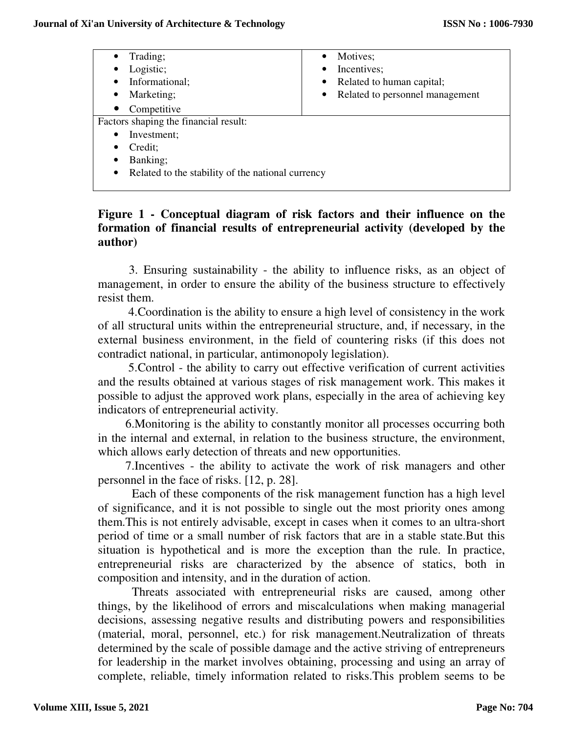| Trading;<br>$\bullet$                                          | Motives:<br>$\bullet$                  |
|----------------------------------------------------------------|----------------------------------------|
| Logistic;<br>$\bullet$                                         | Incentives;<br>$\bullet$               |
| Informational;<br>$\bullet$                                    | Related to human capital;<br>$\bullet$ |
| Marketing;<br>$\bullet$                                        | • Related to personnel management      |
| Competitive<br>$\bullet$                                       |                                        |
| Factors shaping the financial result:                          |                                        |
| Investment;<br>$\bullet$                                       |                                        |
| Credit;<br>$\bullet$                                           |                                        |
| Banking;<br>$\bullet$                                          |                                        |
| Related to the stability of the national currency<br>$\bullet$ |                                        |
|                                                                |                                        |

# **Figure 1 - Conceptual diagram of risk factors and their influence on the formation of financial results of entrepreneurial activity (developed by the author)**

3. Ensuring sustainability - the ability to influence risks, as an object of management, in order to ensure the ability of the business structure to effectively resist them.

 4.Coordination is the ability to ensure a high level of consistency in the work of all structural units within the entrepreneurial structure, and, if necessary, in the external business environment, in the field of countering risks (if this does not contradict national, in particular, antimonopoly legislation).

 5.Control - the ability to carry out effective verification of current activities and the results obtained at various stages of risk management work. This makes it possible to adjust the approved work plans, especially in the area of achieving key indicators of entrepreneurial activity.

 6.Monitoring is the ability to constantly monitor all processes occurring both in the internal and external, in relation to the business structure, the environment, which allows early detection of threats and new opportunities.

 7.Incentives - the ability to activate the work of risk managers and other personnel in the face of risks. [12, p. 28].

Each of these components of the risk management function has a high level of significance, and it is not possible to single out the most priority ones among them.This is not entirely advisable, except in cases when it comes to an ultra-short period of time or a small number of risk factors that are in a stable state.But this situation is hypothetical and is more the exception than the rule. In practice, entrepreneurial risks are characterized by the absence of statics, both in composition and intensity, and in the duration of action.

Threats associated with entrepreneurial risks are caused, among other things, by the likelihood of errors and miscalculations when making managerial decisions, assessing negative results and distributing powers and responsibilities (material, moral, personnel, etc.) for risk management.Neutralization of threats determined by the scale of possible damage and the active striving of entrepreneurs for leadership in the market involves obtaining, processing and using an array of complete, reliable, timely information related to risks.This problem seems to be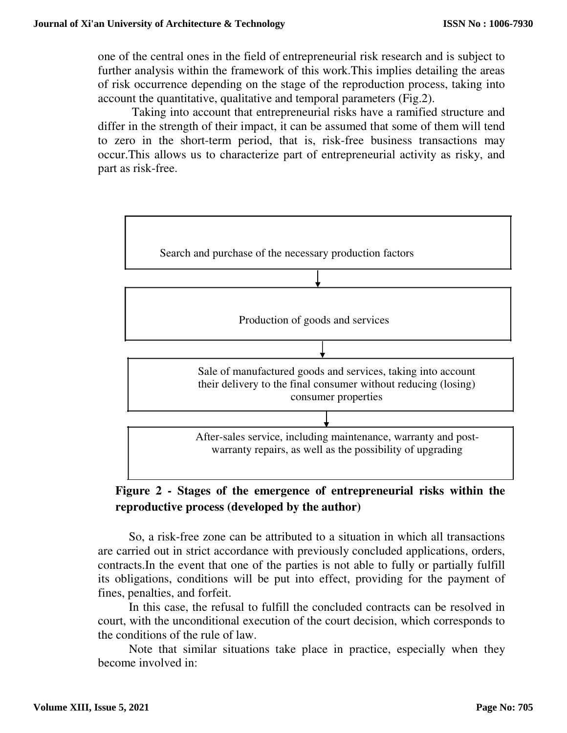one of the central ones in the field of entrepreneurial risk research and is subject to further analysis within the framework of this work.This implies detailing the areas of risk occurrence depending on the stage of the reproduction process, taking into account the quantitative, qualitative and temporal parameters (Fig.2).

Taking into account that entrepreneurial risks have a ramified structure and differ in the strength of their impact, it can be assumed that some of them will tend to zero in the short-term period, that is, risk-free business transactions may occur.This allows us to characterize part of entrepreneurial activity as risky, and part as risk-free.



# **Figure 2 - Stages of the emergence of entrepreneurial risks within the reproductive process (developed by the author)**

So, a risk-free zone can be attributed to a situation in which all transactions are carried out in strict accordance with previously concluded applications, orders, contracts.In the event that one of the parties is not able to fully or partially fulfill its obligations, conditions will be put into effect, providing for the payment of fines, penalties, and forfeit.

In this case, the refusal to fulfill the concluded contracts can be resolved in court, with the unconditional execution of the court decision, which corresponds to the conditions of the rule of law.

Note that similar situations take place in practice, especially when they become involved in: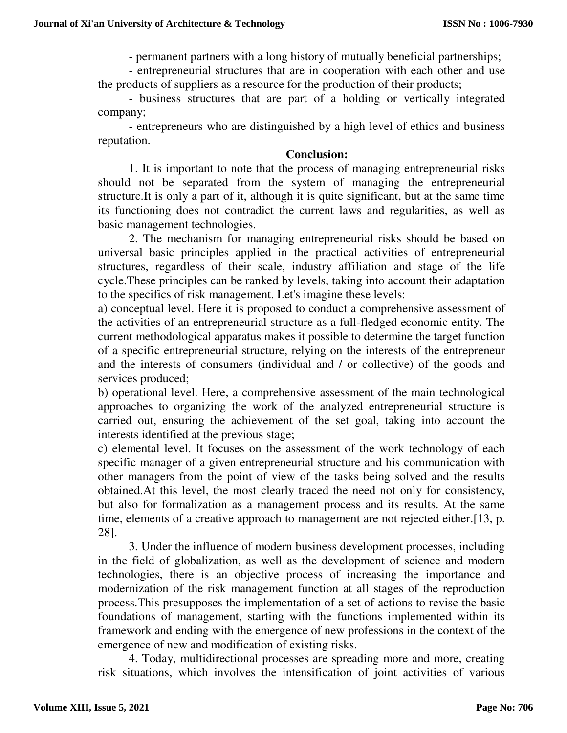- permanent partners with a long history of mutually beneficial partnerships;

- entrepreneurial structures that are in cooperation with each other and use the products of suppliers as a resource for the production of their products;

- business structures that are part of a holding or vertically integrated company;

- entrepreneurs who are distinguished by a high level of ethics and business reputation.

#### **Conclusion:**

1. It is important to note that the process of managing entrepreneurial risks should not be separated from the system of managing the entrepreneurial structure.It is only a part of it, although it is quite significant, but at the same time its functioning does not contradict the current laws and regularities, as well as basic management technologies.

2. The mechanism for managing entrepreneurial risks should be based on universal basic principles applied in the practical activities of entrepreneurial structures, regardless of their scale, industry affiliation and stage of the life cycle.These principles can be ranked by levels, taking into account their adaptation to the specifics of risk management. Let's imagine these levels:

a) conceptual level. Here it is proposed to conduct a comprehensive assessment of the activities of an entrepreneurial structure as a full-fledged economic entity. The current methodological apparatus makes it possible to determine the target function of a specific entrepreneurial structure, relying on the interests of the entrepreneur and the interests of consumers (individual and / or collective) of the goods and services produced;

b) operational level. Here, a comprehensive assessment of the main technological approaches to organizing the work of the analyzed entrepreneurial structure is carried out, ensuring the achievement of the set goal, taking into account the interests identified at the previous stage;

c) elemental level. It focuses on the assessment of the work technology of each specific manager of a given entrepreneurial structure and his communication with other managers from the point of view of the tasks being solved and the results obtained.At this level, the most clearly traced the need not only for consistency, but also for formalization as a management process and its results. At the same time, elements of a creative approach to management are not rejected either.[13, p. 28].

3. Under the influence of modern business development processes, including in the field of globalization, as well as the development of science and modern technologies, there is an objective process of increasing the importance and modernization of the risk management function at all stages of the reproduction process.This presupposes the implementation of a set of actions to revise the basic foundations of management, starting with the functions implemented within its framework and ending with the emergence of new professions in the context of the emergence of new and modification of existing risks.

4. Today, multidirectional processes are spreading more and more, creating risk situations, which involves the intensification of joint activities of various